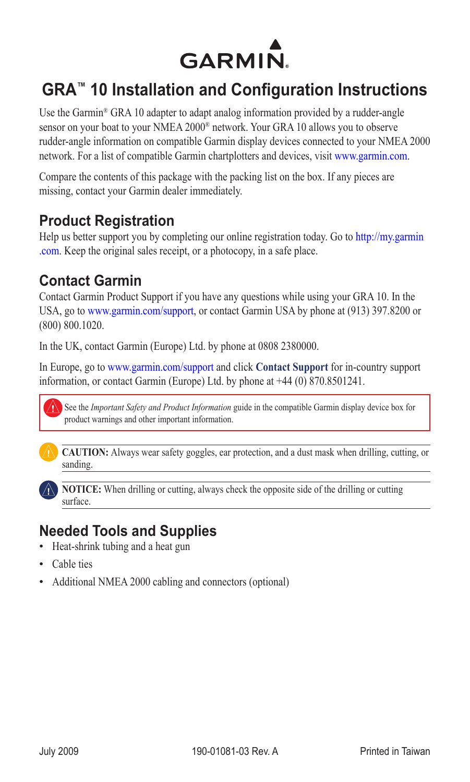

# **GRA™ 10 Installation and Configuration Instructions**

Use the Garmin® GRA 10 adapter to adapt analog information provided by a rudder-angle sensor on your boat to your NMEA 2000® network. Your GRA 10 allows you to observe rudder-angle information on compatible Garmin display devices connected to your NMEA 2000 network. For a list of compatible Garmin chartplotters and devices, visit [www.garmin.com.](www.garmin.com)

Compare the contents of this package with the packing list on the box. If any pieces are missing, contact your Garmin dealer immediately.

## **Product Registration**

Help us better support you by completing our online registration today. Go to [http://my.garmin](http://my.garmin.com) [.com](http://my.garmin.com). Keep the original sales receipt, or a photocopy, in a safe place.

## **Contact Garmin**

Contact Garmin Product Support if you have any questions while using your GRA 10. In the USA, go to www.garmin.com/support, or contact Garmin USA by phone at (913) 397.8200 or (800) 800.1020.

In the UK, contact Garmin (Europe) Ltd. by phone at 0808 2380000.

In Europe, go to www.garmin.com/support and click **Contact Support** for in-country support information, or contact Garmin (Europe) Ltd. by phone at +44 (0) 870.8501241.



See the *Important Safety and Product Information* guide in the compatible Garmin display device box for product warnings and other important information.



**caution:** Always wear safety goggles, ear protection, and a dust mask when drilling, cutting, or sanding.



**notice:** When drilling or cutting, always check the opposite side of the drilling or cutting surface.

# **Needed Tools and Supplies**

- Heat-shrink tubing and a heat gun
- Cable ties
- Additional NMEA 2000 cabling and connectors (optional)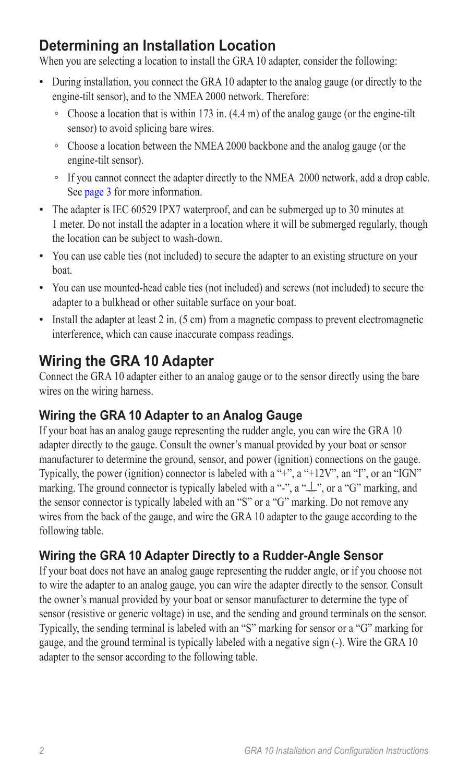# **Determining an Installation Location**

When you are selecting a location to install the GRA 10 adapter, consider the following:

- During installation, you connect the GRA 10 adapter to the analog gauge (or directly to the engine-tilt sensor), and to the NMEA 2000 network. Therefore:
	- Choose a location that is within 173 in. (4.4 m) of the analog gauge (or the engine-tilt sensor) to avoid splicing bare wires.
	- Choose a location between the NMEA 2000 backbone and the analog gauge (or the engine-tilt sensor).
	- If you cannot connect the adapter directly to the NMEA 2000 network, add a drop cable. See [page 3](#page-2-0) for more information.
- The adapter is IEC 60529 IPX7 waterproof, and can be submerged up to 30 minutes at 1 meter. Do not install the adapter in a location where it will be submerged regularly, though the location can be subject to wash-down.
- You can use cable ties (not included) to secure the adapter to an existing structure on your boat.
- You can use mounted-head cable ties (not included) and screws (not included) to secure the adapter to a bulkhead or other suitable surface on your boat.
- Install the adapter at least 2 in. (5 cm) from a magnetic compass to prevent electromagnetic interference, which can cause inaccurate compass readings.

# **Wiring the GRA 10 Adapter**

Connect the GRA 10 adapter either to an analog gauge or to the sensor directly using the bare wires on the wiring harness.

### **Wiring the GRA 10 Adapter to an Analog Gauge**

If your boat has an analog gauge representing the rudder angle, you can wire the GRA 10 adapter directly to the gauge. Consult the owner's manual provided by your boat or sensor manufacturer to determine the ground, sensor, and power (ignition) connections on the gauge. Typically, the power (ignition) connector is labeled with a "+", a "+12V", an "I", or an "IGN" marking. The ground connector is typically labeled with a "-", a " $\frac{1}{x}$ ", or a "G" marking, and the sensor connector is typically labeled with an "S" or a "G" marking. Do not remove any wires from the back of the gauge, and wire the GRA 10 adapter to the gauge according to the following table.

## **Wiring the GRA 10 Adapter Directly to a Rudder-Angle Sensor**

If your boat does not have an analog gauge representing the rudder angle, or if you choose not to wire the adapter to an analog gauge, you can wire the adapter directly to the sensor. Consult the owner's manual provided by your boat or sensor manufacturer to determine the type of sensor (resistive or generic voltage) in use, and the sending and ground terminals on the sensor. Typically, the sending terminal is labeled with an "S" marking for sensor or a "G" marking for gauge, and the ground terminal is typically labeled with a negative sign (-). Wire the GRA 10 adapter to the sensor according to the following table.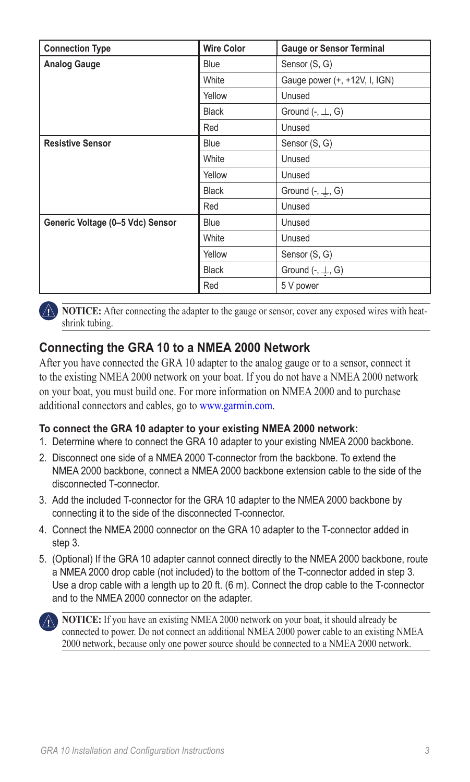| <b>Connection Type</b>           | <b>Wire Color</b> | <b>Gauge or Sensor Terminal</b>   |
|----------------------------------|-------------------|-----------------------------------|
| <b>Analog Gauge</b>              | <b>Blue</b>       | Sensor (S, G)                     |
|                                  | White             | Gauge power (+, +12V, I, IGN)     |
|                                  | Yellow            | Unused                            |
|                                  | <b>Black</b>      | Ground $\left(-, \perp, G\right)$ |
|                                  | Red               | Unused                            |
| <b>Resistive Sensor</b>          | <b>Blue</b>       | Sensor (S, G)                     |
|                                  | White             | Unused                            |
|                                  | Yellow            | Unused                            |
|                                  | Black             | Ground $\left(-, \perp, G\right)$ |
|                                  | Red               | Unused                            |
| Generic Voltage (0-5 Vdc) Sensor | <b>Blue</b>       | Unused                            |
|                                  | White             | Unused                            |
|                                  | Yellow            | Sensor (S, G)                     |
|                                  | <b>Black</b>      | Ground $(-, \perp, G)$            |
|                                  | Red               | 5 V power                         |

**NOTICE:** After connecting the adapter to the gauge or sensor, cover any exposed wires with heatshrink tubing.

### <span id="page-2-0"></span>**Connecting the GRA 10 to a NMEA 2000 Network**

After you have connected the GRA 10 adapter to the analog gauge or to a sensor, connect it to the existing NMEA 2000 network on your boat. If you do not have a NMEA 2000 network on your boat, you must build one. For more information on NMEA 2000 and to purchase additional connectors and cables, go t[o www.garmin.com.](www.garmin.com/)

#### **To connect the GRA 10 adapter to your existing NMEA 2000 network:**

- 1. Determine where to connect the GRA 10 adapter to your existing NMEA 2000 backbone.
- 2. Disconnect one side of a NMEA 2000 T-connector from the backbone. To extend the NMEA 2000 backbone, connect a NMEA 2000 backbone extension cable to the side of the disconnected T-connector.
- 3. Add the included T-connector for the GRA 10 adapter to the NMEA 2000 backbone by connecting it to the side of the disconnected T-connector.
- 4. Connect the NMEA 2000 connector on the GRA 10 adapter to the T-connector added in step 3.
- 5. (Optional) If the GRA 10 adapter cannot connect directly to the NMEA 2000 backbone, route a NMEA 2000 drop cable (not included) to the bottom of the T-connector added in step 3. Use a drop cable with a length up to 20 ft. (6 m). Connect the drop cable to the T-connector and to the NMEA 2000 connector on the adapter.



**NOTICE:** If you have an existing NMEA 2000 network on your boat, it should already be connected to power. Do not connect an additional NMEA 2000 power cable to an existing NMEA 2000 network, because only one power source should be connected to a NMEA 2000 network.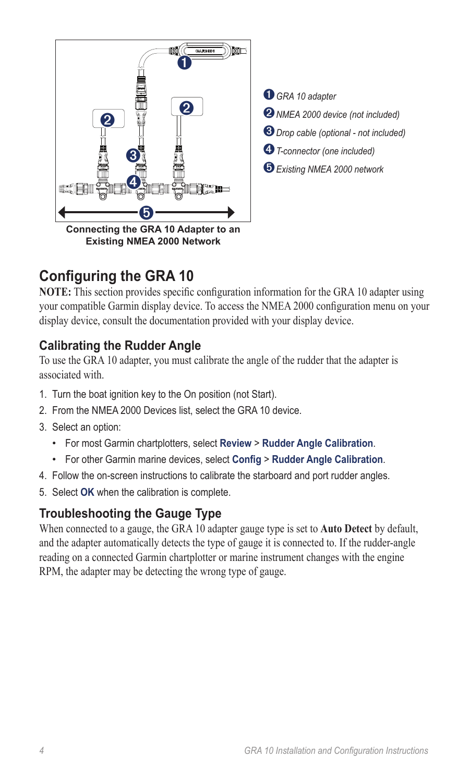

 *GRA <sup>10</sup> adapter NMEA 2000 device (not included) Drop cable (optional - not included) T-connector (one included) Existing NMEA 2000 network*

# **Configuring the GRA 10**

**NOTE:** This section provides specific configuration information for the GRA 10 adapter using your compatible Garmin display device. To access the NMEA 2000 configuration menu on your display device, consult the documentation provided with your display device.

### **Calibrating the Rudder Angle**

To use the GRA 10 adapter, you must calibrate the angle of the rudder that the adapter is associated with.

- 1. Turn the boat ignition key to the On position (not Start).
- 2. From the NMEA 2000 Devices list, select the GRA 10 device.
- 3. Select an option:
	- For most Garmin chartplotters, select **Review** > **Rudder Angle Calibration**. •
	- For other Garmin marine devices, select **Config** > **Rudder Angle Calibration**. •
- 4. Follow the on-screen instructions to calibrate the starboard and port rudder angles.
- 5. Select **OK** when the calibration is complete.

### **Troubleshooting the Gauge Type**

When connected to a gauge, the GRA 10 adapter gauge type is set to **Auto Detect** by default, and the adapter automatically detects the type of gauge it is connected to. If the rudder-angle reading on a connected Garmin chartplotter or marine instrument changes with the engine RPM, the adapter may be detecting the wrong type of gauge.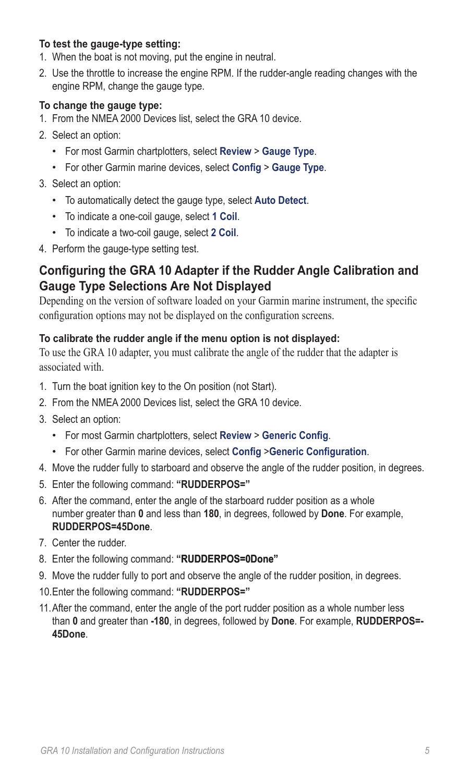#### **To test the gauge-type setting:**

- 1. When the boat is not moving, put the engine in neutral.
- 2. Use the throttle to increase the engine RPM. If the rudder-angle reading changes with the engine RPM, change the gauge type.

#### **To change the gauge type:**

- 1. From the NMEA 2000 Devices list, select the GRA 10 device.
- 2. Select an option:
	- For most Garmin chartplotters, select **Review** > **Gauge Type**. •
	- For other Garmin marine devices, select **Config** > **Gauge Type**. •
- 3. Select an option:
	- To automatically detect the gauge type, select **Auto Detect**. •
	- To indicate a one-coil gauge, select **1 Coil**. •
	- To indicate a two-coil gauge, select **2 Coil**. •
- 4. Perform the gauge-type setting test.

### **Configuring the GRA 10 Adapter if the Rudder Angle Calibration and Gauge Type Selections Are Not Displayed**

Depending on the version of software loaded on your Garmin marine instrument, the specific configuration options may not be displayed on the configuration screens.

#### **To calibrate the rudder angle if the menu option is not displayed:**

To use the GRA 10 adapter, you must calibrate the angle of the rudder that the adapter is associated with.

- 1. Turn the boat ignition key to the On position (not Start).
- 2. From the NMEA 2000 Devices list, select the GRA 10 device.
- 3. Select an option:
	- For most Garmin chartplotters, select **Review** > **Generic Config**. •
	- For other Garmin marine devices, select **Config** >**Generic Configuration**. •
- 4. Move the rudder fully to starboard and observe the angle of the rudder position, in degrees.
- 5. Enter the following command: **"RUDDERPOS="**
- 6. After the command, enter the angle of the starboard rudder position as a whole number greater than **0** and less than **180**, in degrees, followed by **Done**. For example, **RUDDERPOS=45Done**.
- 7. Center the rudder.
- 8. Enter the following command: **" RUDDERPOS=0Done"**
- 9. Move the rudder fully to port and observe the angle of the rudder position, in degrees.
- 10.Enter the following command: **"RUDDERPOS="**
- 11.After the command, enter the angle of the port rudder position as a whole number less than **0** and greater than **-180**, in degrees, followed by **Done**. For example, **RUDDERPOS=- 45Done**.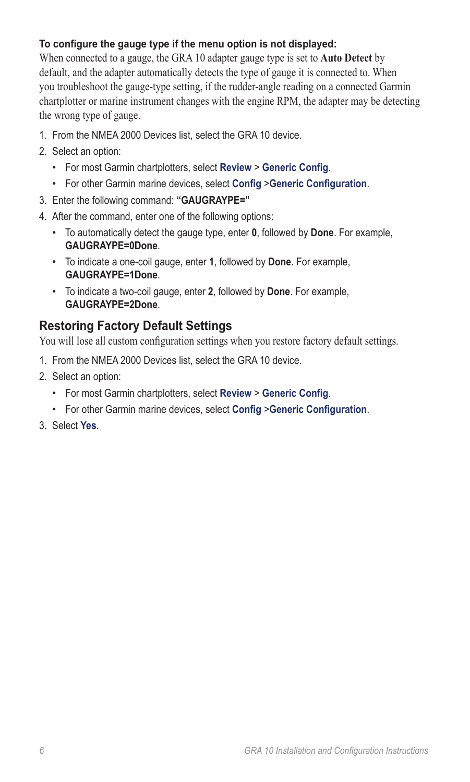#### **To configure the gauge type if the menu option is not displayed:**

When connected to a gauge, the GRA 10 adapter gauge type is set to **Auto Detect** by default, and the adapter automatically detects the type of gauge it is connected to. When you troubleshoot the gauge-type setting, if the rudder-angle reading on a connected Garmin chartplotter or marine instrument changes with the engine RPM, the adapter may be detecting the wrong type of gauge.

- 1. From the NMEA 2000 Devices list, select the GRA 10 device.
- 2. Select an option:
	- For most Garmin chartplotters, select **Review** > **Generic Config**. •
	- For other Garmin marine devices, select **Config** >**Generic Configuration**. •
- 3. Enter the following command: **"GAUGRAYPE="**
- 4. After the command, enter one of the following options:
	- To automatically detect the gauge type, enter **0**, followed by **Done**. For example, **GAUGRAYPE=0Done**.
	- To indicate a one-coil gauge, enter **1**, followed by **Done**. For example, **GAUGRAYPE=1Done**.
	- To indicate a two-coil gauge, enter **2**, followed by **Done**. For example, **GAUGRAYPE=2Done**.

### **Restoring Factory Default Settings**

You will lose all custom configuration settings when you restore factory default settings.

- 1. From the NMEA 2000 Devices list, select the GRA 10 device.
- 2. Select an option:
	- For most Garmin chartplotters, select **Review** > **Generic Config**. •
	- For other Garmin marine devices, select **Config** >**Generic Configuration**. •
- 3. Select **Yes**.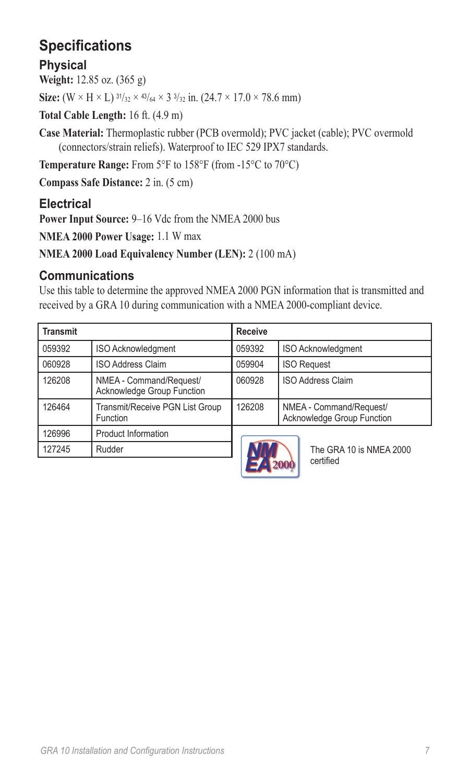# **Specifications**

## **Physical**

**Weight:** 12.85 oz. (365 g)

**Size:**  $(W \times H \times L)$   $\frac{31}{32} \times \frac{43}{64} \times 3\frac{3}{32}$  in.  $(24.7 \times 17.0 \times 78.6$  mm)

**Total Cable Length:** 16 ft. (4.9 m)

**Case Material:** Thermoplastic rubber (PCB overmold); PVC jacket (cable); PVC overmold (connectors/strain reliefs). Waterproof to IEC 529 IPX7 standards.

**Temperature Range:** From 5°F to 158°F (from -15°C to 70°C)

**Compass Safe Distance:** 2 in. (5 cm)

## **Electrical**

**Power Input Source:** 9–16 Vdc from the NMEA 2000 bus

**NMEA 2000 Power Usage:** 1.1 W max

**NMEA 2000 Load Equivalency Number (LEN):** 2 (100 mA)

### **Communications**

Use this table to determine the approved NMEA 2000 PGN information that is transmitted and received by a GRA 10 during communication with a NMEA 2000-compliant device.

| <b>Transmit</b> |                                                       | <b>Receive</b> |                                                       |
|-----------------|-------------------------------------------------------|----------------|-------------------------------------------------------|
| 059392          | <b>ISO Acknowledgment</b>                             | 059392         | ISO Acknowledgment                                    |
| 060928          | <b>ISO Address Claim</b>                              | 059904         | <b>ISO Request</b>                                    |
| 126208          | NMEA - Command/Request/<br>Acknowledge Group Function | 060928         | <b>ISO Address Claim</b>                              |
| 126464          | Transmit/Receive PGN List Group<br>Function           | 126208         | NMEA - Command/Request/<br>Acknowledge Group Function |
| 126996          | <b>Product Information</b>                            |                |                                                       |
| 127245          | Rudder                                                |                | The GRA 10 is NMEA 2000                               |



certified